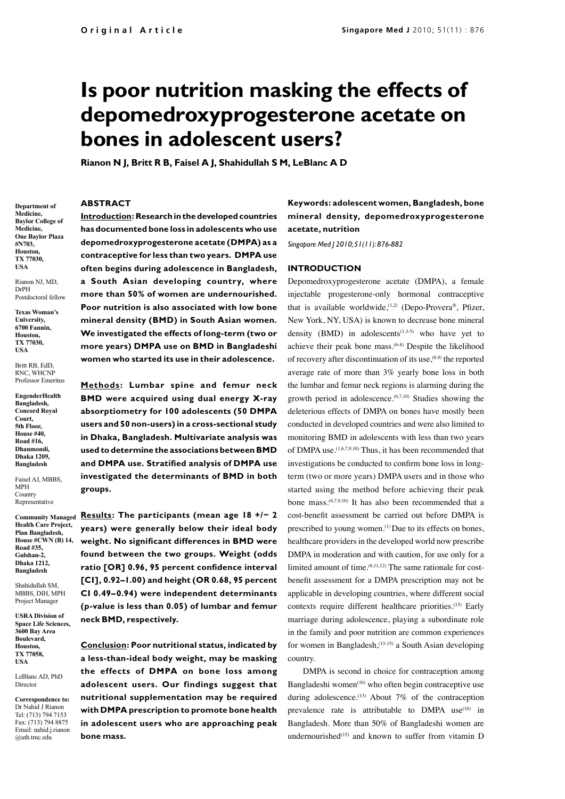# **Is poor nutrition masking the effects of depomedroxyprogesterone acetate on bones in adolescent users?**

**Rianon N J, Britt R B, Faisel A J, Shahidullah S M, LeBlanc A D**

# **ABSTRACT**

**Department of Medicine, Baylor College of Medicine, One Baylor Plaza #N703, Houston, TX 77030, USA** 

Rianon NJ, MD, DrPH Postdoctoral fellow

**Texas Woman's University, 6700 Fannin, Houston, TX 77030, USA**

Britt RB, EdD, RNC, WHCNP Professor Emeritus

**EngenderHealth Bangladesh, Concord Royal Court, 5th Floor, House #40, Road #16, Dhanmondi, Dhaka 1209, Bangladesh**

Faisel AJ, MBBS, MPH **Country** Representative

**Community Managed Health Care Project, Plan Bangladesh, House #CWN (B) 14, Road #35, Gulshan-2, Dhaka 1212, Bangladesh**

Shahidullah SM, MBBS, DIH, MPH Project Manager

**USRA Division of Space Life Sciences, 3600 Bay Area Boulevard, Houston, TX 77058, USA**

LeBlanc AD, PhD Director

**Correspondence to:** Dr Nahid J Rianon Tel: (713) 794 7153 Fax: (713) 794 8875 Email: nahid.j.rianon @uth.tmc.edu

**Introduction: Research in the developed countries has documented bone loss in adolescents who use depomedroxyprogesterone acetate (DMPA) as a contraceptive for less than two years. DMPA use often begins during adolescence in Bangladesh, a South Asian developing country, where more than 50% of women are undernourished. Poor nutrition is also associated with low bone mineral density (BMD) in South Asian women. We investigated the effects of long-term (two or more years) DMPA use on BMD in Bangladeshi women who started its use in their adolescence.** 

**Methods: Lumbar spine and femur neck BMD were acquired using dual energy X-ray absorptiometry for 100 adolescents (50 DMPA users and 50 non-users) in a cross-sectional study in Dhaka, Bangladesh. Multivariate analysis was used to determine the associations between BMD and DMPA use. Stratified analysis of DMPA use investigated the determinants of BMD in both groups.** 

**Results: The participants (mean age 18 +/− 2 years) were generally below their ideal body weight. No significant differences in BMD were found between the two groups. Weight (odds ratio [OR] 0.96, 95 percent confidence interval [CI], 0.92–1.00) and height (OR 0.68, 95 percent CI 0.49–0.94) were independent determinants (p-value is less than 0.05) of lumbar and femur neck BMD, respectively.** 

**Conclusion: Poor nutritional status, indicated by a less-than-ideal body weight, may be masking the effects of DMPA on bone loss among adolescent users. Our findings suggest that nutritional supplementation may be required with DMPA prescription to promote bone health in adolescent users who are approaching peak bone mass.** 

# **Keywords: adolescent women, Bangladesh, bone mineral density, depomedroxyprogesterone acetate, nutrition**

*Singapore Med J 2010; 51(11): 876-882*

### **INTRODUCTION**

Depomedroxyprogesterone acetate (DMPA), a female injectable progesterone-only hormonal contraceptive that is available worldwide,<sup> $(1,2)$ </sup> (Depo-Provera®, Pfizer, New York, NY, USA) is known to decrease bone mineral density (BMD) in adolescents<sup> $(1,3-5)$ </sup> who have yet to achieve their peak bone mass.(6-8) Despite the likelihood of recovery after discontinuation of its use, $(8,9)$  the reported average rate of more than 3% yearly bone loss in both the lumbar and femur neck regions is alarming during the growth period in adolescence.(6,7,10) Studies showing the deleterious effects of DMPA on bones have mostly been conducted in developed countries and were also limited to monitoring BMD in adolescents with less than two years of DMPA use.(1,6,7,9,10) Thus, it has been recommended that investigations be conducted to confirm bone loss in longterm (two or more years) DMPA users and in those who started using the method before achieving their peak bone mass.(6,7,9,10) It has also been recommended that a cost-benefit assessment be carried out before DMPA is prescribed to young women.(1) Due to its effects on bones, healthcare providers in the developed world now prescribe DMPA in moderation and with caution, for use only for a limited amount of time.(8,11,12) The same rationale for costbenefit assessment for a DMPA prescription may not be applicable in developing countries, where different social contexts require different healthcare priorities.(13) Early marriage during adolescence, playing a subordinate role in the family and poor nutrition are common experiences for women in Bangladesh,(13-15) a South Asian developing country.

DMPA is second in choice for contraception among Bangladeshi women<sup>(16)</sup> who often begin contraceptive use during adolescence.<sup>(13)</sup> About 7% of the contraception prevalence rate is attributable to DMPA use<sup>(16)</sup> in Bangladesh. More than 50% of Bangladeshi women are undernourished<sup>(15)</sup> and known to suffer from vitamin D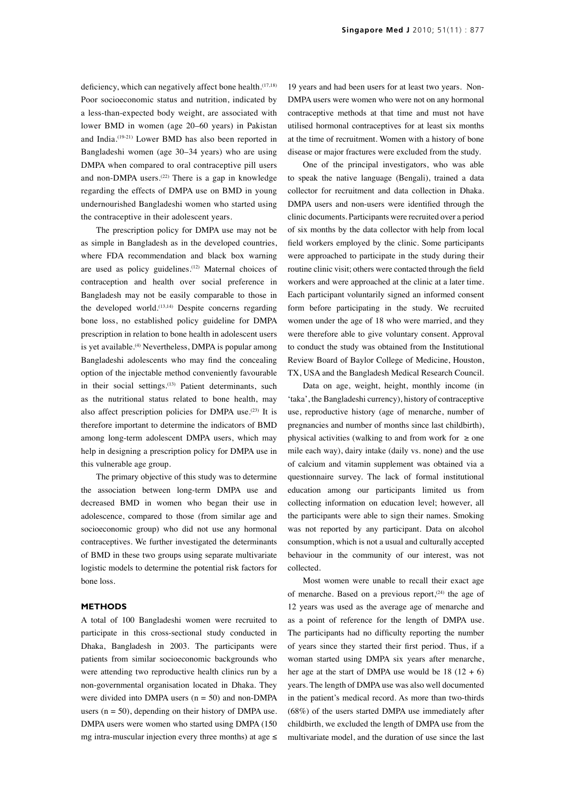deficiency, which can negatively affect bone health.<sup>(17,18)</sup> Poor socioeconomic status and nutrition, indicated by a less-than-expected body weight, are associated with lower BMD in women (age 20–60 years) in Pakistan and India.(19-21) Lower BMD has also been reported in Bangladeshi women (age 30–34 years) who are using DMPA when compared to oral contraceptive pill users and non-DMPA users. $(22)$  There is a gap in knowledge regarding the effects of DMPA use on BMD in young undernourished Bangladeshi women who started using the contraceptive in their adolescent years.

The prescription policy for DMPA use may not be as simple in Bangladesh as in the developed countries, where FDA recommendation and black box warning are used as policy guidelines.<sup>(12)</sup> Maternal choices of contraception and health over social preference in Bangladesh may not be easily comparable to those in the developed world. $(13,14)$  Despite concerns regarding bone loss, no established policy guideline for DMPA prescription in relation to bone health in adolescent users is yet available.<sup>(4)</sup> Nevertheless, DMPA is popular among Bangladeshi adolescents who may find the concealing option of the injectable method conveniently favourable in their social settings.<sup>(13)</sup> Patient determinants, such as the nutritional status related to bone health, may also affect prescription policies for DMPA use.<sup>(23)</sup> It is therefore important to determine the indicators of BMD among long-term adolescent DMPA users, which may help in designing a prescription policy for DMPA use in this vulnerable age group.

The primary objective of this study was to determine the association between long-term DMPA use and decreased BMD in women who began their use in adolescence, compared to those (from similar age and socioeconomic group) who did not use any hormonal contraceptives. We further investigated the determinants of BMD in these two groups using separate multivariate logistic models to determine the potential risk factors for bone loss.

## **METHODS**

A total of 100 Bangladeshi women were recruited to participate in this cross-sectional study conducted in Dhaka, Bangladesh in 2003. The participants were patients from similar socioeconomic backgrounds who were attending two reproductive health clinics run by a non-governmental organisation located in Dhaka. They were divided into DMPA users  $(n = 50)$  and non-DMPA users ( $n = 50$ ), depending on their history of DMPA use. DMPA users were women who started using DMPA (150 mg intra-muscular injection every three months) at age  $\leq$ 

19 years and had been users for at least two years. Non-DMPA users were women who were not on any hormonal contraceptive methods at that time and must not have utilised hormonal contraceptives for at least six months at the time of recruitment. Women with a history of bone disease or major fractures were excluded from the study.

One of the principal investigators, who was able to speak the native language (Bengali), trained a data collector for recruitment and data collection in Dhaka. DMPA users and non-users were identified through the clinic documents. Participants were recruited over a period of six months by the data collector with help from local field workers employed by the clinic. Some participants were approached to participate in the study during their routine clinic visit; others were contacted through the field workers and were approached at the clinic at a later time. Each participant voluntarily signed an informed consent form before participating in the study. We recruited women under the age of 18 who were married, and they were therefore able to give voluntary consent. Approval to conduct the study was obtained from the Institutional Review Board of Baylor College of Medicine, Houston, TX, USA and the Bangladesh Medical Research Council.

Data on age, weight, height, monthly income (in 'taka', the Bangladeshi currency), history of contraceptive use, reproductive history (age of menarche, number of pregnancies and number of months since last childbirth), physical activities (walking to and from work for  $\ge$  one mile each way), dairy intake (daily vs. none) and the use of calcium and vitamin supplement was obtained via a questionnaire survey. The lack of formal institutional education among our participants limited us from collecting information on education level; however, all the participants were able to sign their names. Smoking was not reported by any participant. Data on alcohol consumption, which is not a usual and culturally accepted behaviour in the community of our interest, was not collected.

Most women were unable to recall their exact age of menarche. Based on a previous report, $(24)$  the age of 12 years was used as the average age of menarche and as a point of reference for the length of DMPA use. The participants had no difficulty reporting the number of years since they started their first period. Thus, if a woman started using DMPA six years after menarche, her age at the start of DMPA use would be  $18 (12 + 6)$ years. The length of DMPA use was also well documented in the patient's medical record. As more than two-thirds (68%) of the users started DMPA use immediately after childbirth, we excluded the length of DMPA use from the multivariate model, and the duration of use since the last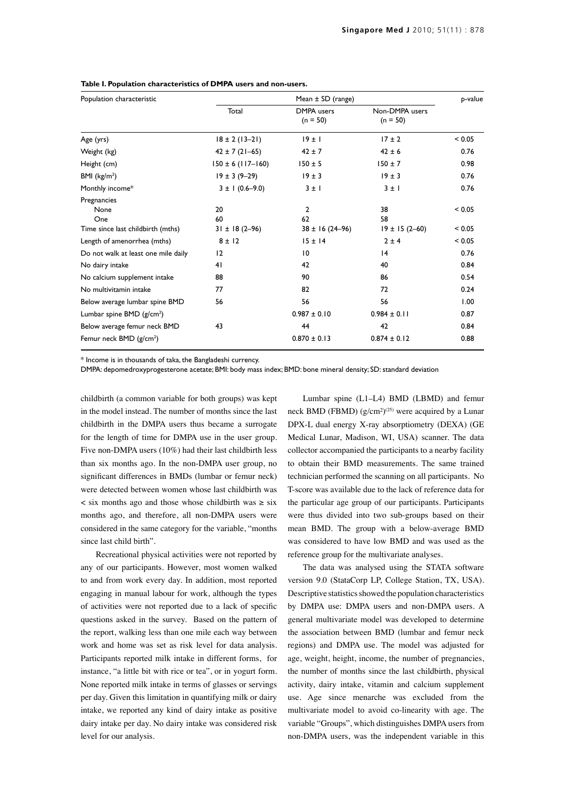| Population characteristic           | Mean $\pm$ SD (range) |                                 |                              | p-value |
|-------------------------------------|-----------------------|---------------------------------|------------------------------|---------|
|                                     | Total                 | <b>DMPA</b> users<br>$(n = 50)$ | Non-DMPA users<br>$(n = 50)$ |         |
| Age (yrs)                           | $18 \pm 2(13 - 21)$   | $19 \pm 1$                      | $17 \pm 2$                   | < 0.05  |
| Weight (kg)                         | $42 \pm 7(21 - 65)$   | $42 \pm 7$                      | $42 \pm 6$                   | 0.76    |
| Height (cm)                         | $150 \pm 6$ (117-160) | $150 \pm 5$                     | $150 \pm 7$                  | 0.98    |
| BMI $(kg/m2)$                       | $19 \pm 3 (9 - 29)$   | $19 \pm 3$                      | $19 \pm 3$                   | 0.76    |
| Monthly income*                     | $3 \pm 1 (0.6 - 9.0)$ | $3 \pm 1$                       | $3 \pm 1$                    | 0.76    |
| Pregnancies<br>None<br>One          | 20<br>60              | 2<br>62                         | 38<br>58                     | < 0.05  |
| Time since last childbirth (mths)   | $31 \pm 18(2 - 96)$   | $38 \pm 16 (24 - 96)$           | $19 \pm 15(2 - 60)$          | < 0.05  |
| Length of amenorrhea (mths)         | $8 \pm 12$            | $15 \pm 14$                     | $2 \pm 4$                    | < 0.05  |
| Do not walk at least one mile daily | 12                    | 10                              | 4                            | 0.76    |
| No dairy intake                     | 41                    | 42                              | 40                           | 0.84    |
| No calcium supplement intake        | 88                    | 90                              | 86                           | 0.54    |
| No multivitamin intake              | 77                    | 82                              | 72                           | 0.24    |
| Below average lumbar spine BMD      | 56                    | 56                              | 56                           | 1.00    |
| Lumbar spine BMD $(g/cm2)$          |                       | $0.987 \pm 0.10$                | $0.984 \pm 0.11$             | 0.87    |
| Below average femur neck BMD        | 43                    | 44                              | 42                           | 0.84    |
| Femur neck BMD (g/cm <sup>2</sup> ) |                       | $0.870 \pm 0.13$                | $0.874 \pm 0.12$             | 0.88    |

#### **Table I. Population characteristics of DMPA users and non-users.**

\* Income is in thousands of taka, the Bangladeshi currency.

DMPA: depomedroxyprogesterone acetate; BMI: body mass index; BMD: bone mineral density; SD: standard deviation

childbirth (a common variable for both groups) was kept in the model instead. The number of months since the last childbirth in the DMPA users thus became a surrogate for the length of time for DMPA use in the user group. Five non-DMPA users (10%) had their last childbirth less than six months ago. In the non-DMPA user group, no significant differences in BMDs (lumbar or femur neck) were detected between women whose last childbirth was < six months ago and those whose childbirth was ≥ six months ago, and therefore, all non-DMPA users were considered in the same category for the variable, "months since last child birth".

Recreational physical activities were not reported by any of our participants. However, most women walked to and from work every day. In addition, most reported engaging in manual labour for work, although the types of activities were not reported due to a lack of specific questions asked in the survey. Based on the pattern of the report, walking less than one mile each way between work and home was set as risk level for data analysis. Participants reported milk intake in different forms, for instance, "a little bit with rice or tea", or in yogurt form. None reported milk intake in terms of glasses or servings per day. Given this limitation in quantifying milk or dairy intake, we reported any kind of dairy intake as positive dairy intake per day. No dairy intake was considered risk level for our analysis.

Lumbar spine (L1–L4) BMD (LBMD) and femur neck BMD (FBMD)  $(g/cm^2)^{(25)}$  were acquired by a Lunar DPX-L dual energy X-ray absorptiometry (DEXA) (GE Medical Lunar, Madison, WI, USA) scanner. The data collector accompanied the participants to a nearby facility to obtain their BMD measurements. The same trained technician performed the scanning on all participants. No T-score was available due to the lack of reference data for the particular age group of our participants. Participants were thus divided into two sub-groups based on their mean BMD. The group with a below-average BMD was considered to have low BMD and was used as the reference group for the multivariate analyses.

The data was analysed using the STATA software version 9.0 (StataCorp LP, College Station, TX, USA). Descriptive statistics showed the population characteristics by DMPA use: DMPA users and non-DMPA users. A general multivariate model was developed to determine the association between BMD (lumbar and femur neck regions) and DMPA use. The model was adjusted for age, weight, height, income, the number of pregnancies, the number of months since the last childbirth, physical activity, dairy intake, vitamin and calcium supplement use. Age since menarche was excluded from the multivariate model to avoid co-linearity with age. The variable "Groups", which distinguishes DMPA users from non-DMPA users, was the independent variable in this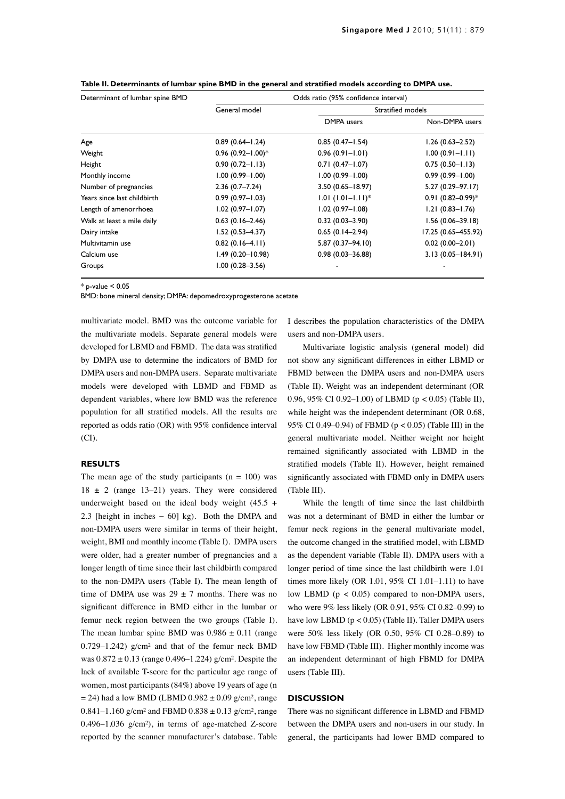| Determinant of lumbar spine BMD | Odds ratio (95% confidence interval) |                                 |                       |  |
|---------------------------------|--------------------------------------|---------------------------------|-----------------------|--|
|                                 | General model                        | Stratified models               |                       |  |
|                                 |                                      | DMPA users                      | Non-DMPA users        |  |
| Age                             | $0.89(0.64 - 1.24)$                  | $0.85(0.47 - 1.54)$             | $1.26(0.63 - 2.52)$   |  |
| Weight                          | $0.96$ (0.92-1.00)*                  | $0.96(0.91 - 1.01)$             | $1.00(0.91 - 1.11)$   |  |
| Height                          | $0.90(0.72 - 1.13)$                  | $0.71(0.47 - 1.07)$             | $0.75(0.50 - 1.13)$   |  |
| Monthly income                  | $1.00(0.99 - 1.00)$                  | $1.00(0.99 - 1.00)$             | $0.99(0.99 - 1.00)$   |  |
| Number of pregnancies           | $2.36(0.7 - 7.24)$                   | $3.50(0.65 - 18.97)$            | $5.27(0.29 - 97.17)$  |  |
| Years since last childbirth     | $0.99(0.97 - 1.03)$                  | $1.01$ (1.01-1.11) <sup>*</sup> | $0.91(0.82 - 0.99)^*$ |  |
| Length of amenorrhoea           | $1.02(0.97 - 1.07)$                  | $1.02(0.97 - 1.08)$             | $1.21(0.83 - 1.76)$   |  |
| Walk at least a mile daily      | $0.63(0.16-2.46)$                    | $0.32(0.03 - 3.90)$             | $1.56(0.06 - 39.18)$  |  |
| Dairy intake                    | $1.52(0.53 - 4.37)$                  | $0.65(0.14-2.94)$               | 17.25 (0.65-455.92)   |  |
| Multivitamin use                | $0.82(0.16-4.11)$                    | $5.87(0.37 - 94.10)$            | $0.02(0.00-2.01)$     |  |
| Calcium use                     | $1.49(0.20 - 10.98)$                 | $0.98(0.03 - 36.88)$            | $3.13(0.05 - 184.91)$ |  |
| Groups                          | $1.00(0.28 - 3.56)$                  |                                 |                       |  |

**Table II. Determinants of lumbar spine BMD in the general and stratified models according to DMPA use.**

 $*$  p-value  $< 0.05$ 

BMD: bone mineral density; DMPA: depomedroxyprogesterone acetate

multivariate model. BMD was the outcome variable for the multivariate models. Separate general models were developed for LBMD and FBMD. The data was stratified by DMPA use to determine the indicators of BMD for DMPA users and non-DMPA users. Separate multivariate models were developed with LBMD and FBMD as dependent variables, where low BMD was the reference population for all stratified models. All the results are reported as odds ratio (OR) with 95% confidence interval (CI).

# **RESULTS**

The mean age of the study participants  $(n = 100)$  was  $18 \pm 2$  (range 13–21) years. They were considered underweight based on the ideal body weight (45.5 + 2.3 [height in inches − 60] kg). Both the DMPA and non-DMPA users were similar in terms of their height, weight, BMI and monthly income (Table I). DMPA users were older, had a greater number of pregnancies and a longer length of time since their last childbirth compared to the non-DMPA users (Table I). The mean length of time of DMPA use was  $29 \pm 7$  months. There was no significant difference in BMD either in the lumbar or femur neck region between the two groups (Table I). The mean lumbar spine BMD was  $0.986 \pm 0.11$  (range 0.729–1.242) g/cm² and that of the femur neck BMD was 0.872 ± 0.13 (range 0.496–1.224) g/cm². Despite the lack of available T-score for the particular age range of women, most participants (84%) above 19 years of age (n  $= 24$ ) had a low BMD (LBMD 0.982  $\pm$  0.09 g/cm<sup>2</sup>, range 0.841–1.160 g/cm<sup>2</sup> and FBMD 0.838  $\pm$  0.13 g/cm<sup>2</sup>, range 0.496–1.036 g/cm²), in terms of age-matched Z-score reported by the scanner manufacturer's database. Table I describes the population characteristics of the DMPA users and non-DMPA users.

Multivariate logistic analysis (general model) did not show any significant differences in either LBMD or FBMD between the DMPA users and non-DMPA users (Table II). Weight was an independent determinant (OR 0.96, 95% CI 0.92–1.00) of LBMD (p < 0.05) (Table II), while height was the independent determinant (OR 0.68, 95% CI 0.49–0.94) of FBMD (p < 0.05) (Table III) in the general multivariate model. Neither weight nor height remained significantly associated with LBMD in the stratified models (Table II). However, height remained significantly associated with FBMD only in DMPA users (Table III).

While the length of time since the last childbirth was not a determinant of BMD in either the lumbar or femur neck regions in the general multivariate model, the outcome changed in the stratified model, with LBMD as the dependent variable (Table II). DMPA users with a longer period of time since the last childbirth were 1.01 times more likely (OR 1.01, 95% CI 1.01–1.11) to have low LBMD ( $p < 0.05$ ) compared to non-DMPA users, who were 9% less likely (OR 0.91, 95% CI 0.82–0.99) to have low LBMD (p < 0.05) (Table II). Taller DMPA users were 50% less likely (OR 0.50, 95% CI 0.28–0.89) to have low FBMD (Table III). Higher monthly income was an independent determinant of high FBMD for DMPA users (Table III).

# **DISCUSSION**

There was no significant difference in LBMD and FBMD between the DMPA users and non-users in our study. In general, the participants had lower BMD compared to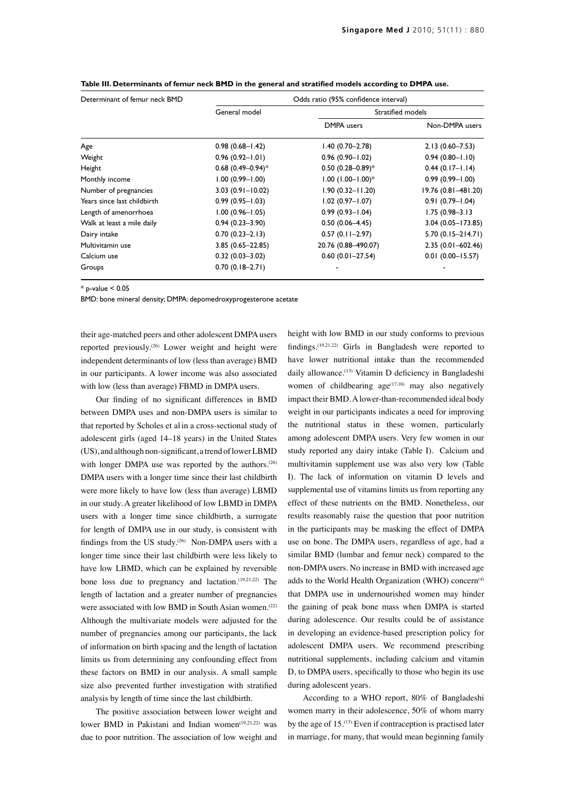| Determinant of femur neck BMD | Odds ratio (95% confidence interval) |                       |                       |  |
|-------------------------------|--------------------------------------|-----------------------|-----------------------|--|
|                               | General model                        |                       | Stratified models     |  |
|                               |                                      | DMPA users            | Non-DMPA users        |  |
| Age                           | $0.98(0.68 - 1.42)$                  | $1.40(0.70 - 2.78)$   | $2.13(0.60 - 7.53)$   |  |
| Weight                        | $0.96(0.92 - 1.01)$                  | $0.96(0.90 - 1.02)$   | $0.94(0.80 - 1.10)$   |  |
| Height                        | $0.68(0.49 - 0.94)^*$                | $0.50(0.28 - 0.89)^*$ | $0.44(0.17 - 1.14)$   |  |
| Monthly income                | $1.00(0.99 - 1.00)$                  | $1.00$ (1.00-1.00)*   | $0.99(0.99 - 1.00)$   |  |
| Number of pregnancies         | $3.03(0.91 - 10.02)$                 | $1.90(0.32 - 11.20)$  | 19.76 (0.81-481.20)   |  |
| Years since last childbirth   | $0.99(0.95 - 1.03)$                  | $1.02(0.97 - 1.07)$   | $0.91(0.79 - 1.04)$   |  |
| Length of amenorrhoea         | $1.00(0.96 - 1.05)$                  | $0.99(0.93 - 1.04)$   | $1.75(0.98 - 3.13)$   |  |
| Walk at least a mile daily    | $0.94(0.23 - 3.90)$                  | $0.50(0.06 - 4.45)$   | 3.04 (0.05-173.85)    |  |
| Dairy intake                  | $0.70(0.23 - 2.13)$                  | $0.57(0.11 - 2.97)$   | $5.70(0.15 - 214.71)$ |  |
| Multivitamin use              | $3.85(0.65 - 22.85)$                 | 20.76 (0.88-490.07)   | $2.35(0.01 - 602.46)$ |  |
| Calcium use                   | $0.32(0.03 - 3.02)$                  | $0.60(0.01 - 27.54)$  | $0.01(0.00 - 15.57)$  |  |
| Groups                        | $0.70(0.18 - 2.71)$                  |                       |                       |  |

| Table III. Determinants of femur neck BMD in the general and stratified models according to DMPA use. |  |  |
|-------------------------------------------------------------------------------------------------------|--|--|
|-------------------------------------------------------------------------------------------------------|--|--|

 $*$  p-value  $< 0.05$ 

BMD: bone mineral density; DMPA: depomedroxyprogesterone acetate

their age-matched peers and other adolescent DMPA users reported previously.<sup>(26)</sup> Lower weight and height were independent determinants of low (less than average) BMD in our participants. A lower income was also associated with low (less than average) FBMD in DMPA users.

Our finding of no significant differences in BMD between DMPA uses and non-DMPA users is similar to that reported by Scholes et al in a cross-sectional study of adolescent girls (aged 14–18 years) in the United States (US), and although non-significant, a trend of lower LBMD with longer DMPA use was reported by the authors.<sup>(26)</sup> DMPA users with a longer time since their last childbirth were more likely to have low (less than average) LBMD in our study. A greater likelihood of low LBMD in DMPA users with a longer time since childbirth, a surrogate for length of DMPA use in our study, is consistent with findings from the US study.<sup>(26)</sup> Non-DMPA users with a longer time since their last childbirth were less likely to have low LBMD, which can be explained by reversible bone loss due to pregnancy and lactation.(19,21,22) The length of lactation and a greater number of pregnancies were associated with low BMD in South Asian women.<sup>(22)</sup> Although the multivariate models were adjusted for the number of pregnancies among our participants, the lack of information on birth spacing and the length of lactation limits us from determining any confounding effect from these factors on BMD in our analysis. A small sample size also prevented further investigation with stratified analysis by length of time since the last childbirth.

The positive association between lower weight and lower BMD in Pakistani and Indian women<sup>(19,21,22)</sup> was due to poor nutrition. The association of low weight and

height with low BMD in our study conforms to previous findings.(19,21,22) Girls in Bangladesh were reported to have lower nutritional intake than the recommended daily allowance.(13) Vitamin D deficiency in Bangladeshi women of childbearing  $age^{(17,18)}$  may also negatively impact their BMD. A lower-than-recommended ideal body weight in our participants indicates a need for improving the nutritional status in these women, particularly among adolescent DMPA users. Very few women in our study reported any dairy intake (Table I). Calcium and multivitamin supplement use was also very low (Table I). The lack of information on vitamin D levels and supplemental use of vitamins limits us from reporting any effect of these nutrients on the BMD. Nonetheless, our results reasonably raise the question that poor nutrition in the participants may be masking the effect of DMPA use on bone. The DMPA users, regardless of age, had a similar BMD (lumbar and femur neck) compared to the non-DMPA users. No increase in BMD with increased age adds to the World Health Organization (WHO) concern<sup> $(4)$ </sup> that DMPA use in undernourished women may hinder the gaining of peak bone mass when DMPA is started during adolescence. Our results could be of assistance in developing an evidence-based prescription policy for adolescent DMPA users. We recommend prescribing nutritional supplements, including calcium and vitamin D, to DMPA users, specifically to those who begin its use during adolescent years.

According to a WHO report, 80% of Bangladeshi women marry in their adolescence, 50% of whom marry by the age of  $15$ .<sup> $(13)$ </sup> Even if contraception is practised later in marriage, for many, that would mean beginning family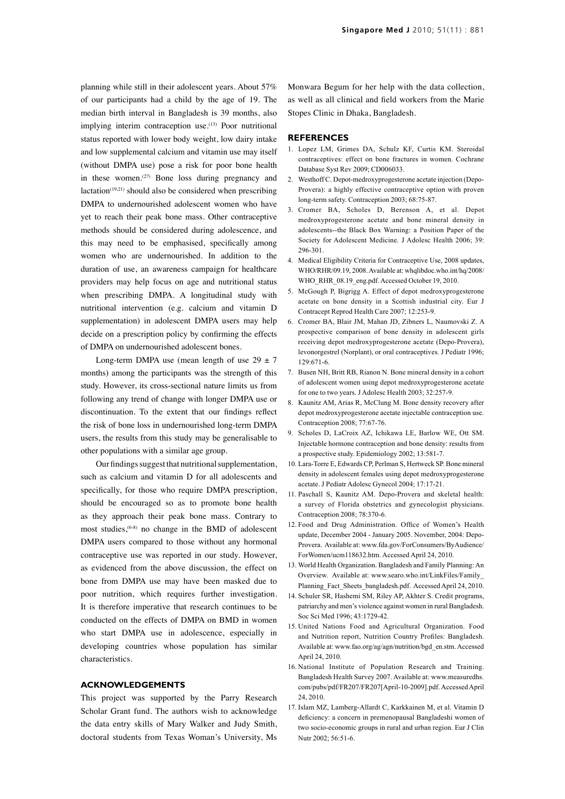planning while still in their adolescent years. About 57% of our participants had a child by the age of 19. The median birth interval in Bangladesh is 39 months, also implying interim contraception use.<sup>(13)</sup> Poor nutritional status reported with lower body weight, low dairy intake and low supplemental calcium and vitamin use may itself (without DMPA use) pose a risk for poor bone health in these women.<sup>(27)</sup> Bone loss during pregnancy and lactation $(19,21)$  should also be considered when prescribing DMPA to undernourished adolescent women who have yet to reach their peak bone mass. Other contraceptive methods should be considered during adolescence, and this may need to be emphasised, specifically among women who are undernourished. In addition to the duration of use, an awareness campaign for healthcare providers may help focus on age and nutritional status when prescribing DMPA. A longitudinal study with nutritional intervention (e.g. calcium and vitamin D supplementation) in adolescent DMPA users may help decide on a prescription policy by confirming the effects of DMPA on undernourished adolescent bones.

Long-term DMPA use (mean length of use  $29 \pm 7$ months) among the participants was the strength of this study. However, its cross-sectional nature limits us from following any trend of change with longer DMPA use or discontinuation. To the extent that our findings reflect the risk of bone loss in undernourished long-term DMPA users, the results from this study may be generalisable to other populations with a similar age group.

Our findings suggest that nutritional supplementation, such as calcium and vitamin D for all adolescents and specifically, for those who require DMPA prescription, should be encouraged so as to promote bone health as they approach their peak bone mass. Contrary to most studies,(6-8) no change in the BMD of adolescent DMPA users compared to those without any hormonal contraceptive use was reported in our study. However, as evidenced from the above discussion, the effect on bone from DMPA use may have been masked due to poor nutrition, which requires further investigation. It is therefore imperative that research continues to be conducted on the effects of DMPA on BMD in women who start DMPA use in adolescence, especially in developing countries whose population has similar characteristics.

# **ACKNOWLEDGEMENTS**

This project was supported by the Parry Research Scholar Grant fund. The authors wish to acknowledge the data entry skills of Mary Walker and Judy Smith, doctoral students from Texas Woman's University, Ms Monwara Begum for her help with the data collection, as well as all clinical and field workers from the Marie Stopes Clinic in Dhaka, Bangladesh.

#### **REFERENCES**

- 1. Lopez LM, Grimes DA, Schulz KF, Curtis KM. Steroidal contraceptives: effect on bone fractures in women. Cochrane Database Syst Rev 2009; CD006033.
- 2. Westhoff C. Depot-medroxyprogesterone acetate injection (Depo-Provera): a highly effective contraceptive option with proven long-term safety. Contraception 2003; 68:75-87.
- 3. Cromer BA, Scholes D, Berenson A, et al. Depot medroxyprogesterone acetate and bone mineral density in adolescents--the Black Box Warning: a Position Paper of the Society for Adolescent Medicine. J Adolesc Health 2006; 39: 296-301.
- 4. Medical Eligibility Criteria for Contraceptive Use, 2008 updates, WHO/RHR/09.19, 2008. Available at: whqlibdoc.who.int/hq/2008/ WHO\_RHR\_08.19\_eng.pdf. Accessed October 19, 2010.
- 5. McGough P, Bigrigg A. Effect of depot medroxyprogesterone acetate on bone density in a Scottish industrial city. Eur J Contracept Reprod Health Care 2007; 12:253-9.
- 6. Cromer BA, Blair JM, Mahan JD, Zibners L, Naumovski Z. A prospective comparison of bone density in adolescent girls receiving depot medroxyprogesterone acetate (Depo-Provera), levonorgestrel (Norplant), or oral contraceptives. J Pediatr 1996; 129:671-6.
- 7. Busen NH, Britt RB, Rianon N. Bone mineral density in a cohort of adolescent women using depot medroxyprogesterone acetate for one to two years. J Adolesc Health 2003; 32:257-9.
- 8. Kaunitz AM, Arias R, McClung M. Bone density recovery after depot medroxyprogesterone acetate injectable contraception use. Contraception 2008; 77:67-76.
- 9. Scholes D, LaCroix AZ, Ichikawa LE, Barlow WE, Ott SM. Injectable hormone contraception and bone density: results from a prospective study. Epidemiology 2002; 13:581-7.
- 10. Lara-Torre E, Edwards CP, Perlman S, Hertweck SP. Bone mineral density in adolescent females using depot medroxyprogesterone acetate. J Pediatr Adolesc Gynecol 2004; 17:17-21.
- 11. Paschall S, Kaunitz AM. Depo-Provera and skeletal health: a survey of Florida obstetrics and gynecologist physicians. Contraception 2008; 78:370-6.
- 12. Food and Drug Administration. Office of Women's Health update, December 2004 - January 2005. November, 2004: Depo-Provera. Available at: www.fda.gov/ForConsumers/ByAudience/ ForWomen/ucm118632.htm. Accessed April 24, 2010.
- 13. World Health Organization. Bangladesh and Family Planning: An Overview. Available at: www.searo.who.int/LinkFiles/Family\_ Planning\_Fact\_Sheets\_bangladesh.pdf. Accessed April 24, 2010.
- 14. Schuler SR, Hashemi SM, Riley AP, Akhter S. Credit programs, patriarchy and men's violence against women in rural Bangladesh. Soc Sci Med 1996; 43:1729-42.
- 15. United Nations Food and Agricultural Organization. Food and Nutrition report, Nutrition Country Profiles: Bangladesh. Available at: www.fao.org/ag/agn/nutrition/bgd\_en.stm. Accessed April 24, 2010.
- 16. National Institute of Population Research and Training. Bangladesh Health Survey 2007. Available at: www.measuredhs. com/pubs/pdf/FR207/FR207[April-10-2009].pdf. Accessed April 24, 2010.
- 17. Islam MZ, Lamberg-Allardt C, Karkkainen M, et al. Vitamin D deficiency: a concern in premenopausal Bangladeshi women of two socio-economic groups in rural and urban region. Eur J Clin Nutr 2002; 56:51-6.